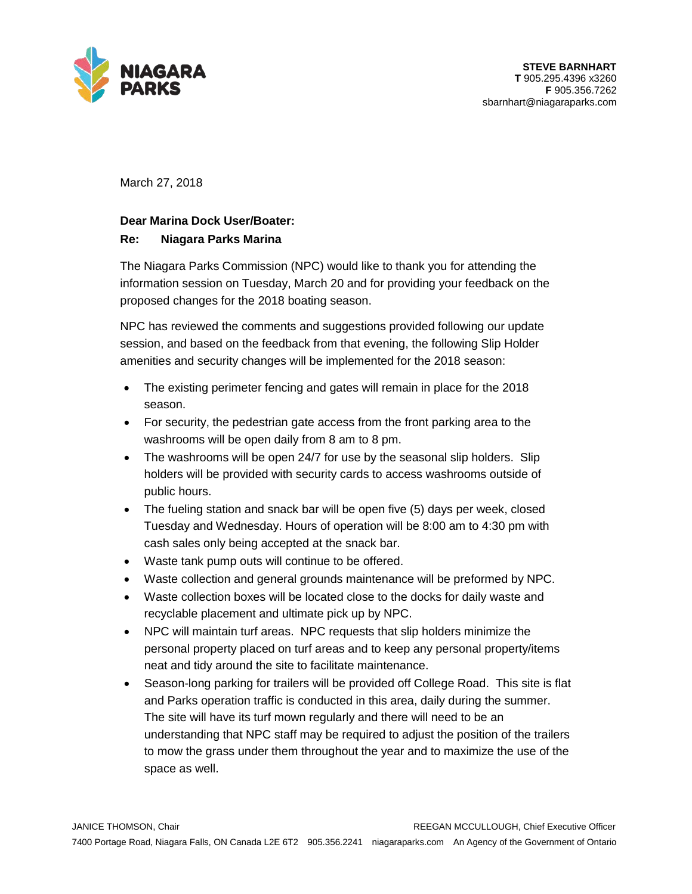

March 27, 2018

## **Dear Marina Dock User/Boater:**

## **Re: Niagara Parks Marina**

The Niagara Parks Commission (NPC) would like to thank you for attending the information session on Tuesday, March 20 and for providing your feedback on the proposed changes for the 2018 boating season.

NPC has reviewed the comments and suggestions provided following our update session, and based on the feedback from that evening, the following Slip Holder amenities and security changes will be implemented for the 2018 season:

- The existing perimeter fencing and gates will remain in place for the 2018 season.
- For security, the pedestrian gate access from the front parking area to the washrooms will be open daily from 8 am to 8 pm.
- The washrooms will be open 24/7 for use by the seasonal slip holders. Slip holders will be provided with security cards to access washrooms outside of public hours.
- The fueling station and snack bar will be open five (5) days per week, closed Tuesday and Wednesday. Hours of operation will be 8:00 am to 4:30 pm with cash sales only being accepted at the snack bar.
- Waste tank pump outs will continue to be offered.
- Waste collection and general grounds maintenance will be preformed by NPC.
- Waste collection boxes will be located close to the docks for daily waste and recyclable placement and ultimate pick up by NPC.
- NPC will maintain turf areas. NPC requests that slip holders minimize the personal property placed on turf areas and to keep any personal property/items neat and tidy around the site to facilitate maintenance.
- Season-long parking for trailers will be provided off College Road. This site is flat and Parks operation traffic is conducted in this area, daily during the summer. The site will have its turf mown regularly and there will need to be an understanding that NPC staff may be required to adjust the position of the trailers to mow the grass under them throughout the year and to maximize the use of the space as well.